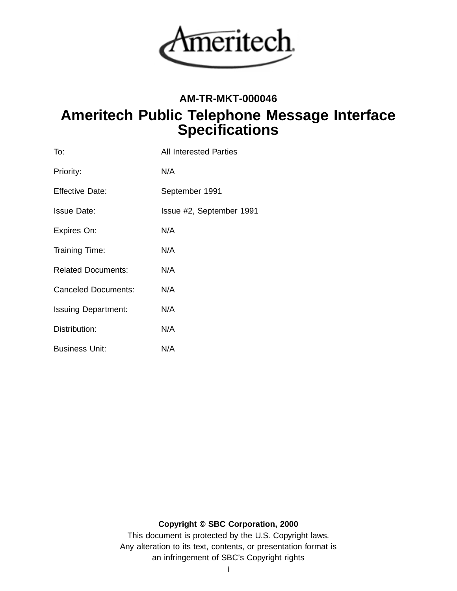

# **AM-TR-MKT-000046 Ameritech Public Telephone Message Interface Specifications**

| To:                        | <b>All Interested Parties</b> |
|----------------------------|-------------------------------|
| Priority:                  | N/A                           |
| <b>Effective Date:</b>     | September 1991                |
| <b>Issue Date:</b>         | Issue #2, September 1991      |
| Expires On:                | N/A                           |
| Training Time:             | N/A                           |
| <b>Related Documents:</b>  | N/A                           |
| <b>Canceled Documents:</b> | N/A                           |
| <b>Issuing Department:</b> | N/A                           |
| Distribution:              | N/A                           |
| <b>Business Unit:</b>      | N/A                           |

# **Copyright © SBC Corporation, 2000**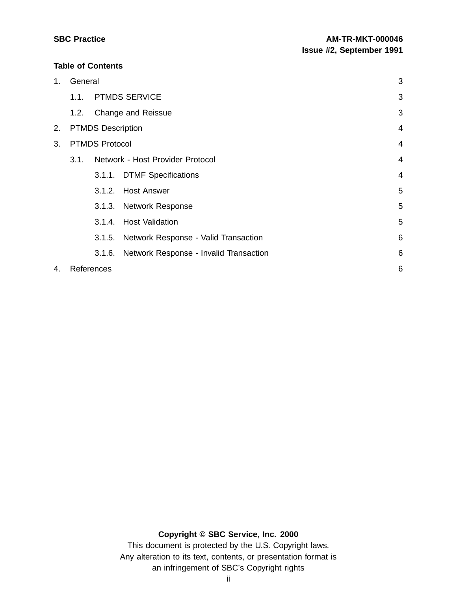#### **Table of Contents**

| 1. | General | 3                             |                                        |   |
|----|---------|-------------------------------|----------------------------------------|---|
|    | 1.1.    |                               | <b>PTMDS SERVICE</b>                   | 3 |
|    | 1.2.    |                               | <b>Change and Reissue</b>              | 3 |
| 2. |         | <b>PTMDS Description</b><br>4 |                                        |   |
| 3. |         | <b>PTMDS Protocol</b><br>4    |                                        |   |
|    | 3.1.    |                               | Network - Host Provider Protocol       | 4 |
|    |         |                               | 3.1.1. DTMF Specifications             | 4 |
|    |         |                               | 3.1.2. Host Answer                     | 5 |
|    |         | 3.1.3.                        | <b>Network Response</b>                | 5 |
|    |         |                               | 3.1.4. Host Validation                 | 5 |
|    |         | 3.1.5.                        | Network Response - Valid Transaction   | 6 |
|    |         | 3.1.6.                        | Network Response - Invalid Transaction | 6 |
| 4. |         | References                    |                                        | 6 |

## **Copyright © SBC Service, Inc. 2000**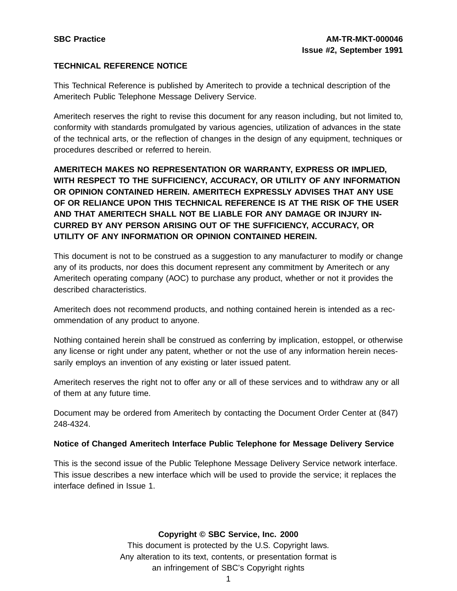## **TECHNICAL REFERENCE NOTICE**

This Technical Reference is published by Ameritech to provide a technical description of the Ameritech Public Telephone Message Delivery Service.

Ameritech reserves the right to revise this document for any reason including, but not limited to, conformity with standards promulgated by various agencies, utilization of advances in the state of the technical arts, or the reflection of changes in the design of any equipment, techniques or procedures described or referred to herein.

**AMERITECH MAKES NO REPRESENTATION OR WARRANTY, EXPRESS OR IMPLIED, WITH RESPECT TO THE SUFFICIENCY, ACCURACY, OR UTILITY OF ANY INFORMATION OR OPINION CONTAINED HEREIN. AMERITECH EXPRESSLY ADVISES THAT ANY USE OF OR RELIANCE UPON THIS TECHNICAL REFERENCE IS AT THE RISK OF THE USER AND THAT AMERITECH SHALL NOT BE LIABLE FOR ANY DAMAGE OR INJURY IN-CURRED BY ANY PERSON ARISING OUT OF THE SUFFICIENCY, ACCURACY, OR UTILITY OF ANY INFORMATION OR OPINION CONTAINED HEREIN.**

This document is not to be construed as a suggestion to any manufacturer to modify or change any of its products, nor does this document represent any commitment by Ameritech or any Ameritech operating company (AOC) to purchase any product, whether or not it provides the described characteristics.

Ameritech does not recommend products, and nothing contained herein is intended as a recommendation of any product to anyone.

Nothing contained herein shall be construed as conferring by implication, estoppel, or otherwise any license or right under any patent, whether or not the use of any information herein necessarily employs an invention of any existing or later issued patent.

Ameritech reserves the right not to offer any or all of these services and to withdraw any or all of them at any future time.

Document may be ordered from Ameritech by contacting the Document Order Center at (847) 248-4324.

### **Notice of Changed Ameritech Interface Public Telephone for Message Delivery Service**

This is the second issue of the Public Telephone Message Delivery Service network interface. This issue describes a new interface which will be used to provide the service; it replaces the interface defined in Issue 1.

### **Copyright © SBC Service, Inc. 2000**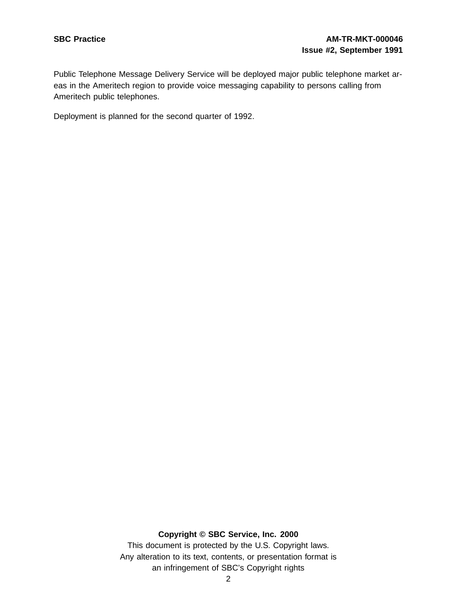Public Telephone Message Delivery Service will be deployed major public telephone market areas in the Ameritech region to provide voice messaging capability to persons calling from Ameritech public telephones.

Deployment is planned for the second quarter of 1992.

#### **Copyright © SBC Service, Inc. 2000**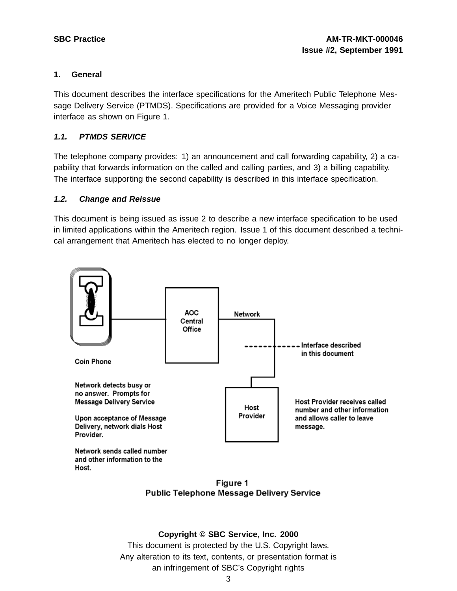## **1. General**

This document describes the interface specifications for the Ameritech Public Telephone Message Delivery Service (PTMDS). Specifications are provided for a Voice Messaging provider interface as shown on Figure 1.

## **1.1. PTMDS SERVICE**

The telephone company provides: 1) an announcement and call forwarding capability, 2) a capability that forwards information on the called and calling parties, and 3) a billing capability. The interface supporting the second capability is described in this interface specification.

## **1.2. Change and Reissue**

This document is being issued as issue 2 to describe a new interface specification to be used in limited applications within the Ameritech region. Issue 1 of this document described a technical arrangement that Ameritech has elected to no longer deploy.



Figure 1 **Public Telephone Message Delivery Service** 

### **Copyright © SBC Service, Inc. 2000**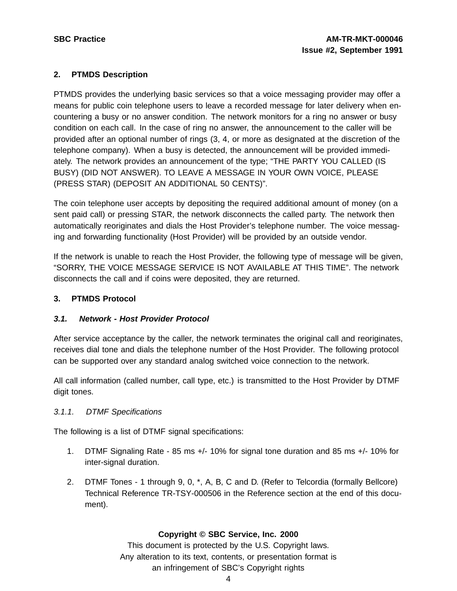## **2. PTMDS Description**

PTMDS provides the underlying basic services so that a voice messaging provider may offer a means for public coin telephone users to leave a recorded message for later delivery when encountering a busy or no answer condition. The network monitors for a ring no answer or busy condition on each call. In the case of ring no answer, the announcement to the caller will be provided after an optional number of rings (3, 4, or more as designated at the discretion of the telephone company). When a busy is detected, the announcement will be provided immediately. The network provides an announcement of the type; "THE PARTY YOU CALLED (IS BUSY) (DID NOT ANSWER). TO LEAVE A MESSAGE IN YOUR OWN VOICE, PLEASE (PRESS STAR) (DEPOSIT AN ADDITIONAL 50 CENTS)".

The coin telephone user accepts by depositing the required additional amount of money (on a sent paid call) or pressing STAR, the network disconnects the called party. The network then automatically reoriginates and dials the Host Provider's telephone number. The voice messaging and forwarding functionality (Host Provider) will be provided by an outside vendor.

If the network is unable to reach the Host Provider, the following type of message will be given, "SORRY, THE VOICE MESSAGE SERVICE IS NOT AVAILABLE AT THIS TIME". The network disconnects the call and if coins were deposited, they are returned.

## **3. PTMDS Protocol**

### **3.1. Network - Host Provider Protocol**

After service acceptance by the caller, the network terminates the original call and reoriginates, receives dial tone and dials the telephone number of the Host Provider. The following protocol can be supported over any standard analog switched voice connection to the network.

All call information (called number, call type, etc.) is transmitted to the Host Provider by DTMF digit tones.

### 3.1.1. DTMF Specifications

The following is a list of DTMF signal specifications:

- 1. DTMF Signaling Rate 85 ms +/- 10% for signal tone duration and 85 ms +/- 10% for inter-signal duration.
- 2. DTMF Tones 1 through 9, 0, \*, A, B, C and D. (Refer to Telcordia (formally Bellcore) Technical Reference TR-TSY-000506 in the Reference section at the end of this document).

# **Copyright © SBC Service, Inc. 2000**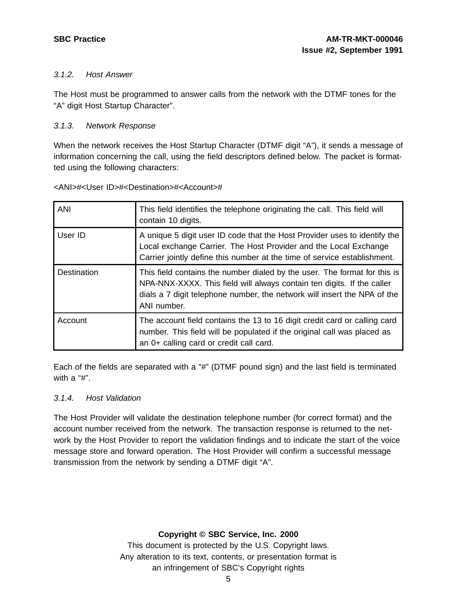## 3.1.2. Host Answer

The Host must be programmed to answer calls from the network with the DTMF tones for the "A" digit Host Startup Character".

## 3.1.3. Network Response

When the network receives the Host Startup Character (DTMF digit "A"), it sends a message of information concerning the call, using the field descriptors defined below. The packet is formatted using the following characters:

| <b>ANI</b>  | This field identifies the telephone originating the call. This field will<br>contain 10 digits.                                                                                                                                                |
|-------------|------------------------------------------------------------------------------------------------------------------------------------------------------------------------------------------------------------------------------------------------|
| User ID     | A unique 5 digit user ID code that the Host Provider uses to identify the<br>Local exchange Carrier. The Host Provider and the Local Exchange<br>Carrier jointly define this number at the time of service establishment.                      |
| Destination | This field contains the number dialed by the user. The format for this is<br>NPA-NNX-XXXX. This field will always contain ten digits. If the caller<br>dials a 7 digit telephone number, the network will insert the NPA of the<br>ANI number. |
| Account     | The account field contains the 13 to 16 digit credit card or calling card<br>number. This field will be populated if the original call was placed as<br>an 0+ calling card or credit call card.                                                |

#### <ANI>#<User ID>#<Destination>#<Account>#

Each of the fields are separated with a "#" (DTMF pound sign) and the last field is terminated with a "#".

# 3.1.4. Host Validation

The Host Provider will validate the destination telephone number (for correct format) and the account number received from the network. The transaction response is returned to the network by the Host Provider to report the validation findings and to indicate the start of the voice message store and forward operation. The Host Provider will confirm a successful message transmission from the network by sending a DTMF digit "A".

### **Copyright © SBC Service, Inc. 2000**